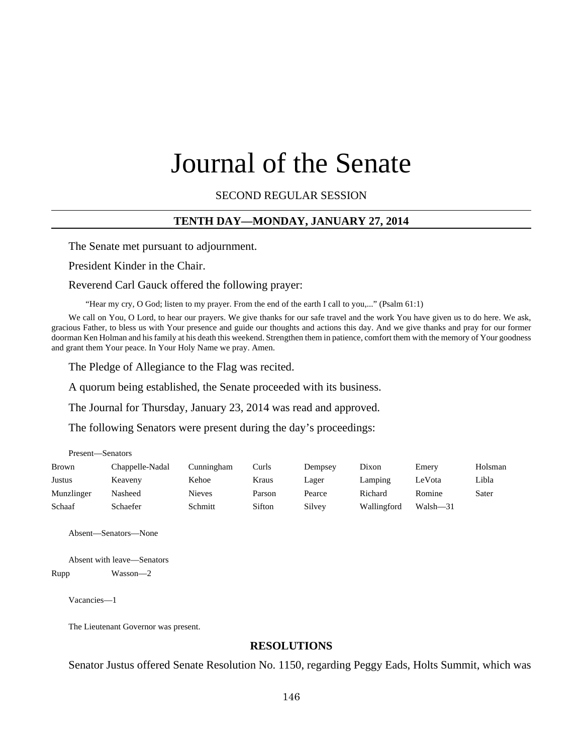# Journal of the Senate

SECOND REGULAR SESSION

#### **TENTH DAY—MONDAY, JANUARY 27, 2014**

The Senate met pursuant to adjournment.

President Kinder in the Chair.

Reverend Carl Gauck offered the following prayer:

"Hear my cry, O God; listen to my prayer. From the end of the earth I call to you,..." (Psalm 61:1)

We call on You, O Lord, to hear our prayers. We give thanks for our safe travel and the work You have given us to do here. We ask, gracious Father, to bless us with Your presence and guide our thoughts and actions this day. And we give thanks and pray for our former doorman Ken Holman and his family at his death this weekend. Strengthen them in patience, comfort them with the memory of Your goodness and grant them Your peace. In Your Holy Name we pray. Amen.

The Pledge of Allegiance to the Flag was recited.

A quorum being established, the Senate proceeded with its business.

The Journal for Thursday, January 23, 2014 was read and approved.

The following Senators were present during the day's proceedings:

| Present—Senators |                 |            |        |         |             |              |         |
|------------------|-----------------|------------|--------|---------|-------------|--------------|---------|
| <b>Brown</b>     | Chappelle-Nadal | Cunningham | Curls  | Dempsey | Dixon       | Emery        | Holsman |
| Justus           | Keaveny         | Kehoe      | Kraus  | Lager   | Lamping     | LeVota       | Libla   |
| Munzlinger       | Nasheed         | Nieves     | Parson | Pearce  | Richard     | Romine       | Sater   |
| Schaaf           | Schaefer        | Schmitt    | Sifton | Silvey  | Wallingford | $Walsh - 31$ |         |

Absent—Senators—None

Absent with leave—Senators Rupp Wasson—2

Vacancies—1

The Lieutenant Governor was present.

#### **RESOLUTIONS**

Senator Justus offered Senate Resolution No. 1150, regarding Peggy Eads, Holts Summit, which was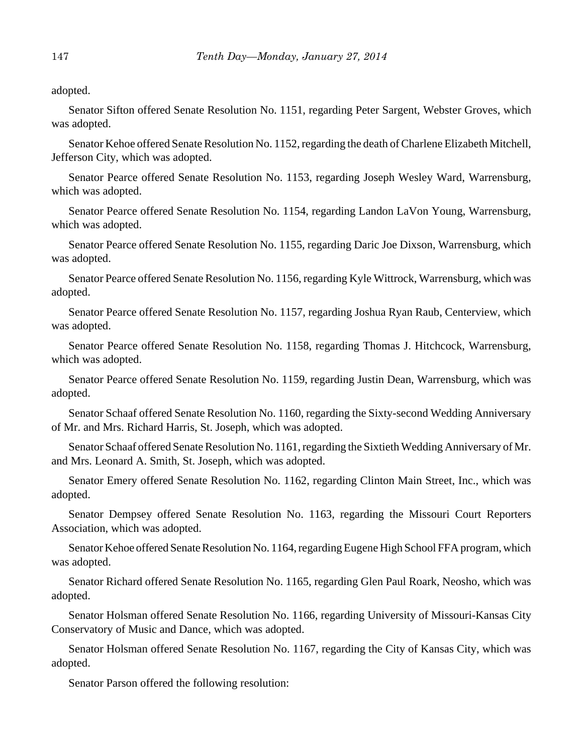adopted.

Senator Sifton offered Senate Resolution No. 1151, regarding Peter Sargent, Webster Groves, which was adopted.

Senator Kehoe offered Senate Resolution No. 1152, regarding the death of Charlene Elizabeth Mitchell, Jefferson City, which was adopted.

Senator Pearce offered Senate Resolution No. 1153, regarding Joseph Wesley Ward, Warrensburg, which was adopted.

Senator Pearce offered Senate Resolution No. 1154, regarding Landon LaVon Young, Warrensburg, which was adopted.

Senator Pearce offered Senate Resolution No. 1155, regarding Daric Joe Dixson, Warrensburg, which was adopted.

Senator Pearce offered Senate Resolution No. 1156, regarding Kyle Wittrock, Warrensburg, which was adopted.

Senator Pearce offered Senate Resolution No. 1157, regarding Joshua Ryan Raub, Centerview, which was adopted.

Senator Pearce offered Senate Resolution No. 1158, regarding Thomas J. Hitchcock, Warrensburg, which was adopted.

Senator Pearce offered Senate Resolution No. 1159, regarding Justin Dean, Warrensburg, which was adopted.

Senator Schaaf offered Senate Resolution No. 1160, regarding the Sixty-second Wedding Anniversary of Mr. and Mrs. Richard Harris, St. Joseph, which was adopted.

Senator Schaaf offered Senate Resolution No. 1161, regarding the Sixtieth Wedding Anniversary of Mr. and Mrs. Leonard A. Smith, St. Joseph, which was adopted.

Senator Emery offered Senate Resolution No. 1162, regarding Clinton Main Street, Inc., which was adopted.

Senator Dempsey offered Senate Resolution No. 1163, regarding the Missouri Court Reporters Association, which was adopted.

Senator Kehoe offered Senate Resolution No. 1164, regarding Eugene High School FFA program, which was adopted.

Senator Richard offered Senate Resolution No. 1165, regarding Glen Paul Roark, Neosho, which was adopted.

Senator Holsman offered Senate Resolution No. 1166, regarding University of Missouri-Kansas City Conservatory of Music and Dance, which was adopted.

Senator Holsman offered Senate Resolution No. 1167, regarding the City of Kansas City, which was adopted.

Senator Parson offered the following resolution: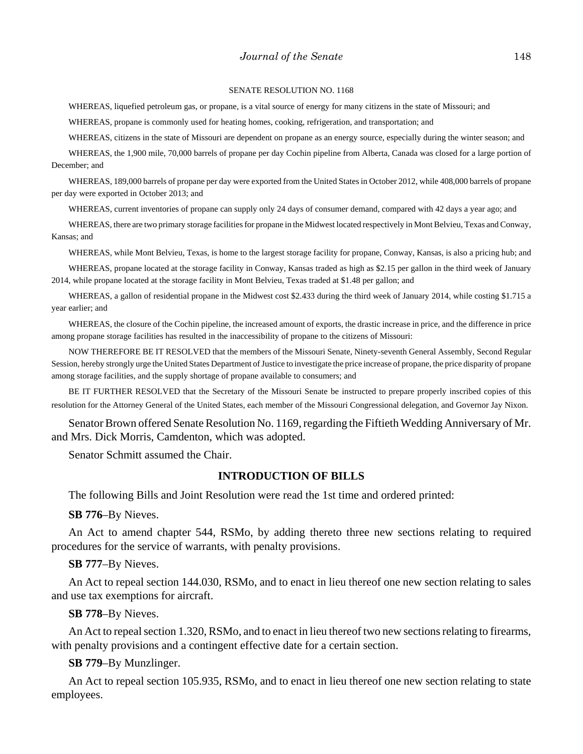#### SENATE RESOLUTION NO. 1168

WHEREAS, liquefied petroleum gas, or propane, is a vital source of energy for many citizens in the state of Missouri; and

WHEREAS, propane is commonly used for heating homes, cooking, refrigeration, and transportation; and

WHEREAS, citizens in the state of Missouri are dependent on propane as an energy source, especially during the winter season; and

WHEREAS, the 1,900 mile, 70,000 barrels of propane per day Cochin pipeline from Alberta, Canada was closed for a large portion of December; and

WHEREAS, 189,000 barrels of propane per day were exported from the United States in October 2012, while 408,000 barrels of propane per day were exported in October 2013; and

WHEREAS, current inventories of propane can supply only 24 days of consumer demand, compared with 42 days a year ago; and

WHEREAS, there are two primary storage facilities for propane in the Midwest located respectively in Mont Belvieu, Texas and Conway, Kansas; and

WHEREAS, while Mont Belvieu, Texas, is home to the largest storage facility for propane, Conway, Kansas, is also a pricing hub; and

WHEREAS, propane located at the storage facility in Conway, Kansas traded as high as \$2.15 per gallon in the third week of January 2014, while propane located at the storage facility in Mont Belvieu, Texas traded at \$1.48 per gallon; and

WHEREAS, a gallon of residential propane in the Midwest cost \$2.433 during the third week of January 2014, while costing \$1.715 a year earlier; and

WHEREAS, the closure of the Cochin pipeline, the increased amount of exports, the drastic increase in price, and the difference in price among propane storage facilities has resulted in the inaccessibility of propane to the citizens of Missouri:

NOW THEREFORE BE IT RESOLVED that the members of the Missouri Senate, Ninety-seventh General Assembly, Second Regular Session, hereby strongly urge the United States Department of Justice to investigate the price increase of propane, the price disparity of propane among storage facilities, and the supply shortage of propane available to consumers; and

BE IT FURTHER RESOLVED that the Secretary of the Missouri Senate be instructed to prepare properly inscribed copies of this resolution for the Attorney General of the United States, each member of the Missouri Congressional delegation, and Governor Jay Nixon.

Senator Brown offered Senate Resolution No. 1169, regarding the Fiftieth Wedding Anniversary of Mr. and Mrs. Dick Morris, Camdenton, which was adopted.

Senator Schmitt assumed the Chair.

#### **INTRODUCTION OF BILLS**

The following Bills and Joint Resolution were read the 1st time and ordered printed:

**SB 776**–By Nieves.

An Act to amend chapter 544, RSMo, by adding thereto three new sections relating to required procedures for the service of warrants, with penalty provisions.

**SB 777**–By Nieves.

An Act to repeal section 144.030, RSMo, and to enact in lieu thereof one new section relating to sales and use tax exemptions for aircraft.

**SB 778**–By Nieves.

An Act to repeal section 1.320, RSMo, and to enact in lieu thereof two new sections relating to firearms, with penalty provisions and a contingent effective date for a certain section.

#### **SB 779**–By Munzlinger.

An Act to repeal section 105.935, RSMo, and to enact in lieu thereof one new section relating to state employees.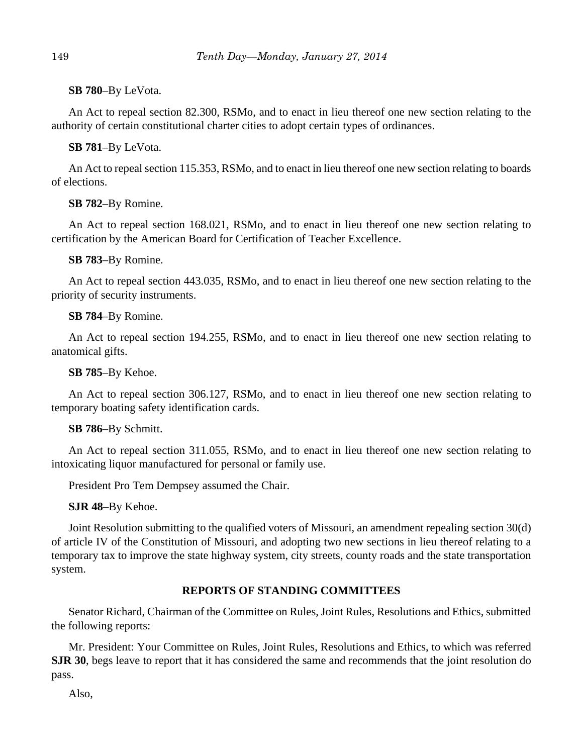## **SB 780**–By LeVota.

An Act to repeal section 82.300, RSMo, and to enact in lieu thereof one new section relating to the authority of certain constitutional charter cities to adopt certain types of ordinances.

## **SB 781**–By LeVota.

An Act to repeal section 115.353, RSMo, and to enact in lieu thereof one new section relating to boards of elections.

## **SB 782**–By Romine.

An Act to repeal section 168.021, RSMo, and to enact in lieu thereof one new section relating to certification by the American Board for Certification of Teacher Excellence.

## **SB 783**–By Romine.

An Act to repeal section 443.035, RSMo, and to enact in lieu thereof one new section relating to the priority of security instruments.

## **SB 784**–By Romine.

An Act to repeal section 194.255, RSMo, and to enact in lieu thereof one new section relating to anatomical gifts.

## **SB 785**–By Kehoe.

An Act to repeal section 306.127, RSMo, and to enact in lieu thereof one new section relating to temporary boating safety identification cards.

## **SB 786**–By Schmitt.

An Act to repeal section 311.055, RSMo, and to enact in lieu thereof one new section relating to intoxicating liquor manufactured for personal or family use.

President Pro Tem Dempsey assumed the Chair.

**SJR 48**–By Kehoe.

Joint Resolution submitting to the qualified voters of Missouri, an amendment repealing section 30(d) of article IV of the Constitution of Missouri, and adopting two new sections in lieu thereof relating to a temporary tax to improve the state highway system, city streets, county roads and the state transportation system.

# **REPORTS OF STANDING COMMITTEES**

Senator Richard, Chairman of the Committee on Rules, Joint Rules, Resolutions and Ethics, submitted the following reports:

Mr. President: Your Committee on Rules, Joint Rules, Resolutions and Ethics, to which was referred **SJR 30**, begs leave to report that it has considered the same and recommends that the joint resolution do pass.

Also,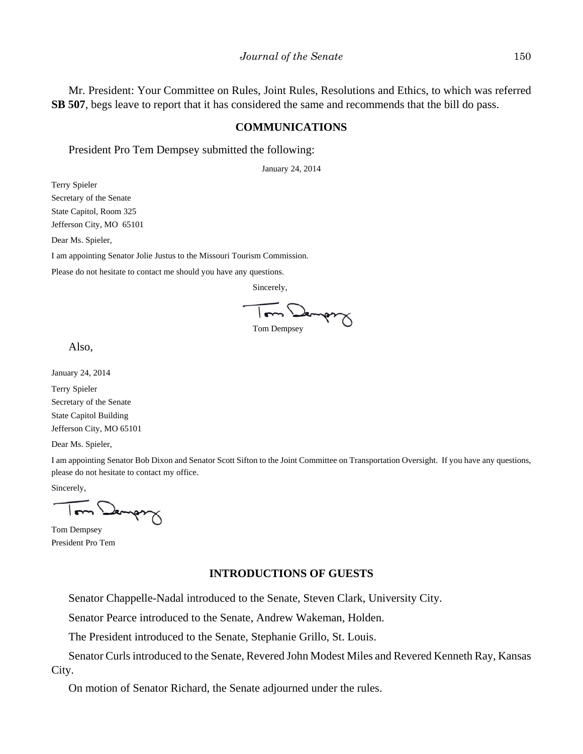Mr. President: Your Committee on Rules, Joint Rules, Resolutions and Ethics, to which was referred **SB 507**, begs leave to report that it has considered the same and recommends that the bill do pass.

#### **COMMUNICATIONS**

President Pro Tem Dempsey submitted the following:

January 24, 2014

Terry Spieler

Secretary of the Senate

State Capitol, Room 325 Jefferson City, MO 65101

Dear Ms. Spieler,

I am appointing Senator Jolie Justus to the Missouri Tourism Commission.

Please do not hesitate to contact me should you have any questions.

Sincerely,



Also,

January 24, 2014

Terry Spieler Secretary of the Senate State Capitol Building Jefferson City, MO 65101

Dear Ms. Spieler,

I am appointing Senator Bob Dixon and Senator Scott Sifton to the Joint Committee on Transportation Oversight. If you have any questions, please do not hesitate to contact my office.

Sincerely,

Jambul

Tom Dempsey President Pro Tem

#### **INTRODUCTIONS OF GUESTS**

Senator Chappelle-Nadal introduced to the Senate, Steven Clark, University City.

Senator Pearce introduced to the Senate, Andrew Wakeman, Holden.

The President introduced to the Senate, Stephanie Grillo, St. Louis.

Senator Curls introduced to the Senate, Revered John Modest Miles and Revered Kenneth Ray, Kansas City.

On motion of Senator Richard, the Senate adjourned under the rules.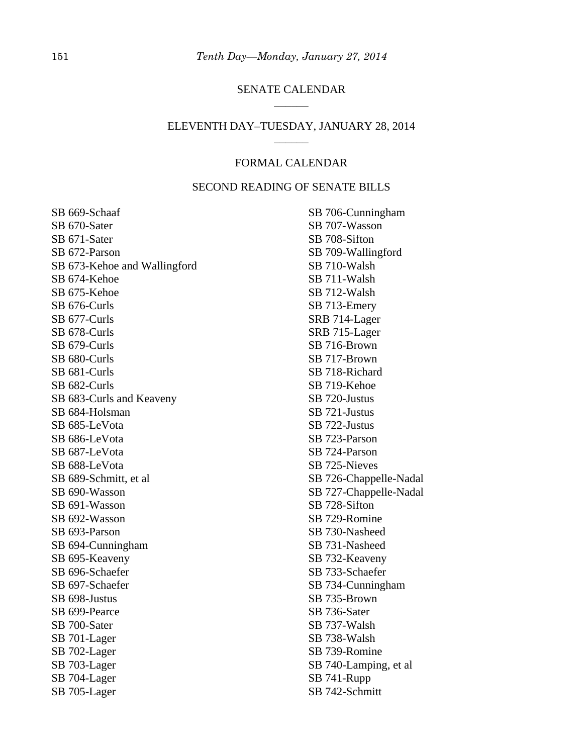## SENATE CALENDAR \_\_\_\_\_\_

#### ELEVENTH DAY–TUESDAY, JANUARY 28, 2014 \_\_\_\_\_\_

## FORMAL CALENDAR

## SECOND READING OF SENATE BILLS

SB 669-Schaaf SB 670-Sater SB 671-Sater SB 672-Parson SB 673-Kehoe and Wallingford SB 674-Kehoe SB 675-Kehoe SB 676-Curls SB 677-Curls SB 678-Curls SB 679-Curls SB 680-Curls SB 681-Curls SB 682-Curls SB 683-Curls and Keaveny SB 684-Holsman SB 685-LeVota SB 686-LeVota SB 687-LeVota SB 688-LeVota SB 689-Schmitt, et al SB 690-Wasson SB 691-Wasson SB 692-Wasson SB 693-Parson SB 694-Cunningham SB 695-Keaveny SB 696-Schaefer SB 697-Schaefer SB 698-Justus SB 699-Pearce SB 700-Sater SB 701-Lager SB 702-Lager SB 703-Lager SB 704-Lager SB 705-Lager

SB 706-Cunningham SB 707-Wasson SB 708-Sifton SB 709-Wallingford SB 710-Walsh SB 711-Walsh SB 712-Walsh SB 713-Emery SRB 714-Lager SRB 715-Lager SB 716-Brown SB 717-Brown SB 718-Richard SB 719-Kehoe SB 720-Justus SB 721-Justus SB 722-Justus SB 723-Parson SB 724-Parson SB 725-Nieves SB 726-Chappelle-Nadal SB 727-Chappelle-Nadal SB 728-Sifton SB 729-Romine SB 730-Nasheed SB 731-Nasheed SB 732-Keaveny SB 733-Schaefer SB 734-Cunningham SB 735-Brown SB 736-Sater SB 737-Walsh SB 738-Walsh SB 739-Romine SB 740-Lamping, et al SB 741-Rupp SB 742-Schmitt